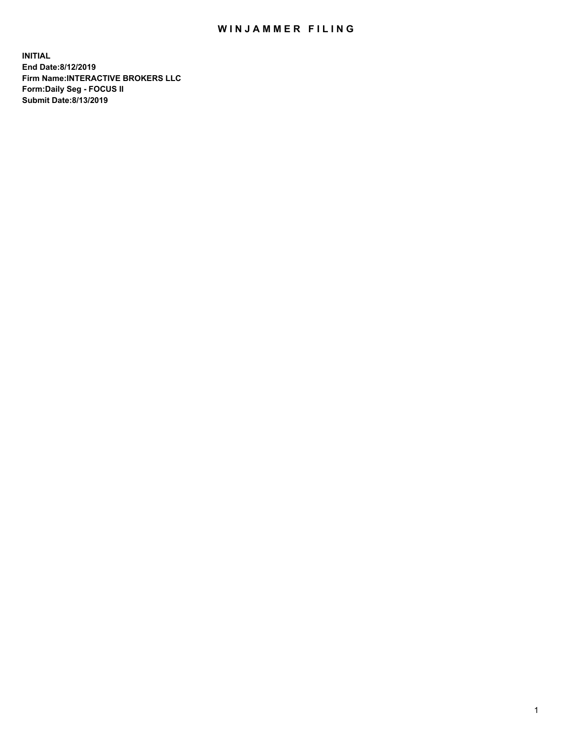## WIN JAMMER FILING

**INITIAL End Date:8/12/2019 Firm Name:INTERACTIVE BROKERS LLC Form:Daily Seg - FOCUS II Submit Date:8/13/2019**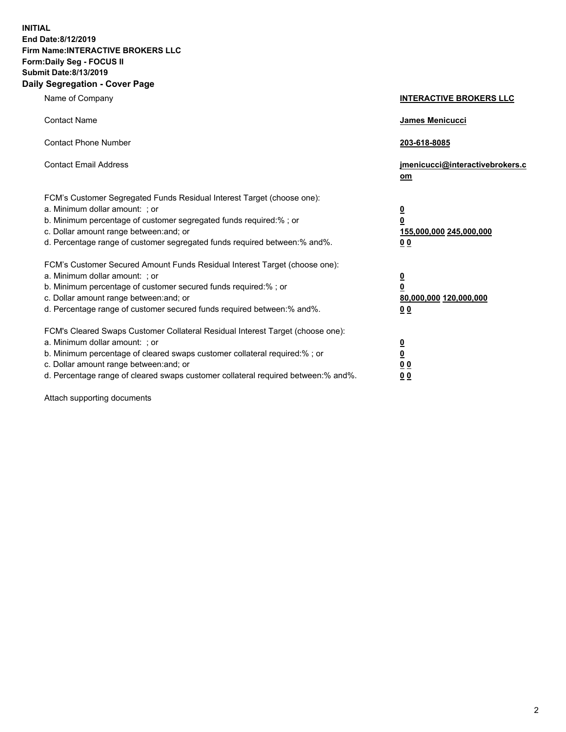**INITIAL End Date:8/12/2019 Firm Name:INTERACTIVE BROKERS LLC Form:Daily Seg - FOCUS II Submit Date:8/13/2019 Daily Segregation - Cover Page**

| Name of Company                                                                                                                                                                                                                                                                                                                | <b>INTERACTIVE BROKERS LLC</b>                                                                           |
|--------------------------------------------------------------------------------------------------------------------------------------------------------------------------------------------------------------------------------------------------------------------------------------------------------------------------------|----------------------------------------------------------------------------------------------------------|
| <b>Contact Name</b>                                                                                                                                                                                                                                                                                                            | James Menicucci                                                                                          |
| <b>Contact Phone Number</b>                                                                                                                                                                                                                                                                                                    | 203-618-8085                                                                                             |
| <b>Contact Email Address</b>                                                                                                                                                                                                                                                                                                   | jmenicucci@interactivebrokers.c<br>om                                                                    |
| FCM's Customer Segregated Funds Residual Interest Target (choose one):<br>a. Minimum dollar amount: ; or<br>b. Minimum percentage of customer segregated funds required:% ; or<br>c. Dollar amount range between: and; or<br>d. Percentage range of customer segregated funds required between:% and%.                         | $\overline{\mathbf{0}}$<br>$\overline{\mathbf{0}}$<br>155,000,000 245,000,000<br>0 <sub>0</sub>          |
| FCM's Customer Secured Amount Funds Residual Interest Target (choose one):<br>a. Minimum dollar amount: ; or<br>b. Minimum percentage of customer secured funds required:%; or<br>c. Dollar amount range between: and; or<br>d. Percentage range of customer secured funds required between:% and%.                            | $\overline{\mathbf{0}}$<br>$\overline{\mathbf{0}}$<br>80,000,000 120,000,000<br>00                       |
| FCM's Cleared Swaps Customer Collateral Residual Interest Target (choose one):<br>a. Minimum dollar amount: ; or<br>b. Minimum percentage of cleared swaps customer collateral required:% ; or<br>c. Dollar amount range between: and; or<br>d. Percentage range of cleared swaps customer collateral required between:% and%. | $\overline{\mathbf{0}}$<br>$\underline{\mathbf{0}}$<br>$\underline{0}$ $\underline{0}$<br>0 <sub>0</sub> |

Attach supporting documents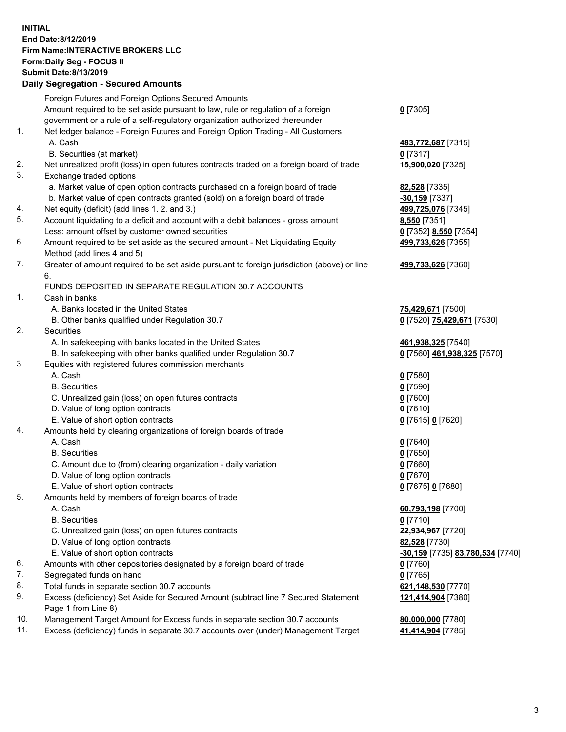## **INITIAL End Date:8/12/2019 Firm Name:INTERACTIVE BROKERS LLC Form:Daily Seg - FOCUS II Submit Date:8/13/2019 Daily Segregation - Secured Amounts**

|     | Daily Segregation - Secured Amounts                                                                                             |                                  |
|-----|---------------------------------------------------------------------------------------------------------------------------------|----------------------------------|
|     | Foreign Futures and Foreign Options Secured Amounts                                                                             |                                  |
|     | Amount required to be set aside pursuant to law, rule or regulation of a foreign                                                | $0$ [7305]                       |
|     | government or a rule of a self-regulatory organization authorized thereunder                                                    |                                  |
| 1.  | Net ledger balance - Foreign Futures and Foreign Option Trading - All Customers                                                 |                                  |
|     | A. Cash                                                                                                                         | 483,772,687 [7315]               |
|     | B. Securities (at market)                                                                                                       | $0$ [7317]                       |
| 2.  | Net unrealized profit (loss) in open futures contracts traded on a foreign board of trade                                       | 15,900,020 [7325]                |
| 3.  | Exchange traded options                                                                                                         |                                  |
|     | a. Market value of open option contracts purchased on a foreign board of trade                                                  | 82,528 [7335]                    |
|     | b. Market value of open contracts granted (sold) on a foreign board of trade                                                    | $-30,159$ [7337]                 |
| 4.  | Net equity (deficit) (add lines 1. 2. and 3.)                                                                                   | 499,725,076 [7345]               |
| 5.  | Account liquidating to a deficit and account with a debit balances - gross amount                                               | 8,550 [7351]                     |
|     | Less: amount offset by customer owned securities                                                                                | 0 [7352] 8,550 [7354]            |
| 6.  | Amount required to be set aside as the secured amount - Net Liquidating Equity                                                  | 499,733,626 [7355]               |
|     | Method (add lines 4 and 5)                                                                                                      |                                  |
| 7.  | Greater of amount required to be set aside pursuant to foreign jurisdiction (above) or line                                     | 499,733,626 [7360]               |
|     | 6.                                                                                                                              |                                  |
|     | FUNDS DEPOSITED IN SEPARATE REGULATION 30.7 ACCOUNTS                                                                            |                                  |
| 1.  | Cash in banks                                                                                                                   |                                  |
|     | A. Banks located in the United States                                                                                           | 75,429,671 [7500]                |
| 2.  | B. Other banks qualified under Regulation 30.7                                                                                  | 0 [7520] 75,429,671 [7530]       |
|     | Securities                                                                                                                      |                                  |
|     | A. In safekeeping with banks located in the United States<br>B. In safekeeping with other banks qualified under Regulation 30.7 | 461,938,325 [7540]               |
| 3.  | Equities with registered futures commission merchants                                                                           | 0 [7560] 461,938,325 [7570]      |
|     | A. Cash                                                                                                                         | $0$ [7580]                       |
|     | <b>B.</b> Securities                                                                                                            | $0$ [7590]                       |
|     | C. Unrealized gain (loss) on open futures contracts                                                                             | $0$ [7600]                       |
|     | D. Value of long option contracts                                                                                               | $0$ [7610]                       |
|     | E. Value of short option contracts                                                                                              | 0 [7615] 0 [7620]                |
| 4.  | Amounts held by clearing organizations of foreign boards of trade                                                               |                                  |
|     | A. Cash                                                                                                                         | $0$ [7640]                       |
|     | <b>B.</b> Securities                                                                                                            | $0$ [7650]                       |
|     | C. Amount due to (from) clearing organization - daily variation                                                                 | $0$ [7660]                       |
|     | D. Value of long option contracts                                                                                               | $0$ [7670]                       |
|     | E. Value of short option contracts                                                                                              | 0 [7675] 0 [7680]                |
| 5.  | Amounts held by members of foreign boards of trade                                                                              |                                  |
|     | A. Cash                                                                                                                         | 60,793,198 [7700]                |
|     | <b>B.</b> Securities                                                                                                            | $0$ [7710]                       |
|     | C. Unrealized gain (loss) on open futures contracts                                                                             | 22,934,967 [7720]                |
|     | D. Value of long option contracts                                                                                               | 82,528 [7730]                    |
|     | E. Value of short option contracts                                                                                              | -30,159 [7735] 83,780,534 [7740] |
| 6.  | Amounts with other depositories designated by a foreign board of trade                                                          | $0$ [7760]                       |
| 7.  | Segregated funds on hand                                                                                                        | $0$ [7765]                       |
| 8.  | Total funds in separate section 30.7 accounts                                                                                   | 621,148,530 [7770]               |
| 9.  | Excess (deficiency) Set Aside for Secured Amount (subtract line 7 Secured Statement                                             | 121,414,904 [7380]               |
|     | Page 1 from Line 8)                                                                                                             |                                  |
| 10. | Management Target Amount for Excess funds in separate section 30.7 accounts                                                     | 80,000,000 [7780]                |
| 11. | Excess (deficiency) funds in separate 30.7 accounts over (under) Management Target                                              | 41,414,904 [7785]                |
|     |                                                                                                                                 |                                  |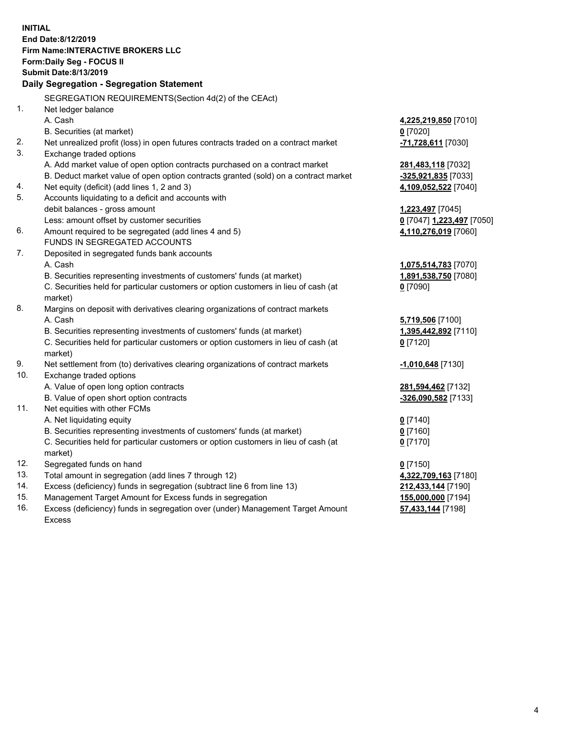**INITIAL End Date:8/12/2019 Firm Name:INTERACTIVE BROKERS LLC Form:Daily Seg - FOCUS II Submit Date:8/13/2019 Daily Segregation - Segregation Statement** SEGREGATION REQUIREMENTS(Section 4d(2) of the CEAct) 1. Net ledger balance A. Cash **4,225,219,850** [7010] B. Securities (at market) **0** [7020] 2. Net unrealized profit (loss) in open futures contracts traded on a contract market **-71,728,611** [7030] 3. Exchange traded options A. Add market value of open option contracts purchased on a contract market **281,483,118** [7032] B. Deduct market value of open option contracts granted (sold) on a contract market **-325,921,835** [7033] 4. Net equity (deficit) (add lines 1, 2 and 3) **4,109,052,522** [7040] 5. Accounts liquidating to a deficit and accounts with debit balances - gross amount **1,223,497** [7045] Less: amount offset by customer securities **0** [7047] **1,223,497** [7050] 6. Amount required to be segregated (add lines 4 and 5) **4,110,276,019** [7060] FUNDS IN SEGREGATED ACCOUNTS 7. Deposited in segregated funds bank accounts A. Cash **1,075,514,783** [7070] B. Securities representing investments of customers' funds (at market) **1,891,538,750** [7080] C. Securities held for particular customers or option customers in lieu of cash (at market) **0** [7090] 8. Margins on deposit with derivatives clearing organizations of contract markets A. Cash **5,719,506** [7100] B. Securities representing investments of customers' funds (at market) **1,395,442,892** [7110] C. Securities held for particular customers or option customers in lieu of cash (at market) **0** [7120] 9. Net settlement from (to) derivatives clearing organizations of contract markets **-1,010,648** [7130] 10. Exchange traded options A. Value of open long option contracts **281,594,462** [7132] B. Value of open short option contracts **-326,090,582** [7133] 11. Net equities with other FCMs A. Net liquidating equity **0** [7140] B. Securities representing investments of customers' funds (at market) **0** [7160] C. Securities held for particular customers or option customers in lieu of cash (at market) **0** [7170] 12. Segregated funds on hand **0** [7150] 13. Total amount in segregation (add lines 7 through 12) **4,322,709,163** [7180] 14. Excess (deficiency) funds in segregation (subtract line 6 from line 13) **212,433,144** [7190] 15. Management Target Amount for Excess funds in segregation **155,000,000** [7194]

16. Excess (deficiency) funds in segregation over (under) Management Target Amount Excess

**57,433,144** [7198]